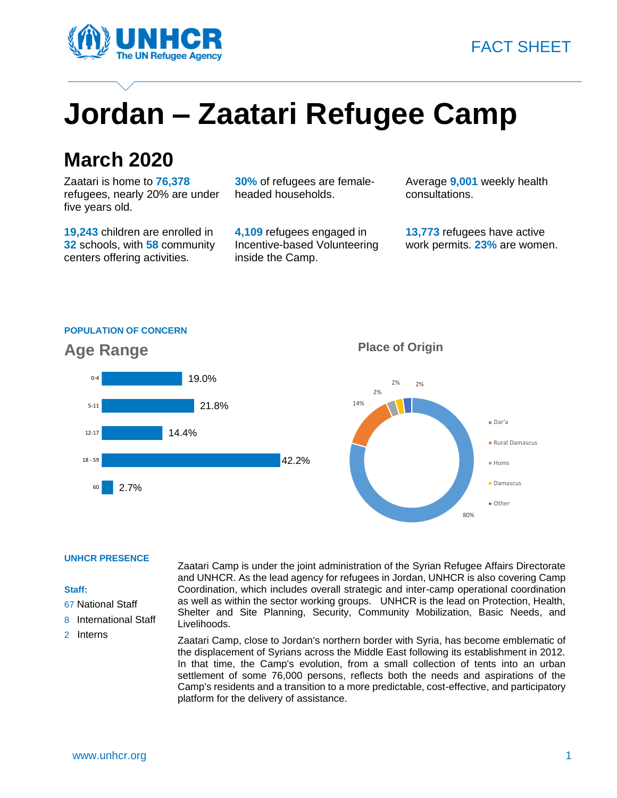



# **Jordan – Zaatari Refugee Camp**

### **March 2020**

Zaatari is home to **76,378** refugees, nearly 20% are under five years old.

**19,243** children are enrolled in **32** schools, with **58** community centers offering activities.

**30%** of refugees are femaleheaded households.

**4,109** refugees engaged in Incentive-based Volunteering inside the Camp.

Average **9,001** weekly health consultations.

**13,773** refugees have active work permits. **23%** are women.

#### **POPULATION OF CONCERN**



#### **Place of Origin**



#### **UNHCR PRESENCE**

#### **Staff:**

- 67 National Staff
- 8 International Staff
- 2 Interns

Zaatari Camp is under the joint administration of the Syrian Refugee Affairs Directorate and UNHCR. As the lead agency for refugees in Jordan, UNHCR is also covering Camp Coordination, which includes overall strategic and inter-camp operational coordination as well as within the sector working groups. UNHCR is the lead on Protection, Health, Shelter and Site Planning, Security, Community Mobilization, Basic Needs, and Livelihoods.

Zaatari Camp, close to Jordan's northern border with Syria, has become emblematic of the displacement of Syrians across the Middle East following its establishment in 2012. In that time, the Camp's evolution, from a small collection of tents into an urban settlement of some 76,000 persons, reflects both the needs and aspirations of the Camp's residents and a transition to a more predictable, cost-effective, and participatory platform for the delivery of assistance.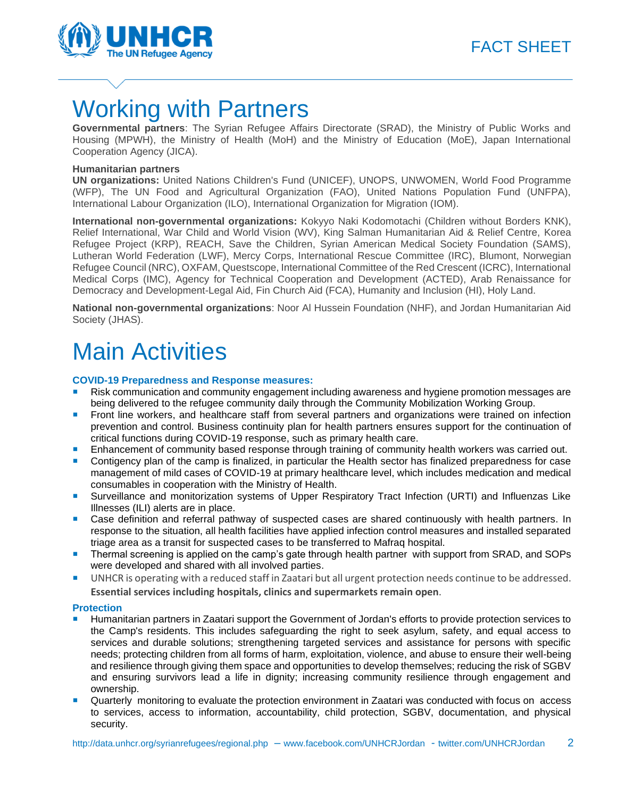

## Working with Partners

**Governmental partners**: The Syrian Refugee Affairs Directorate (SRAD), the Ministry of Public Works and Housing (MPWH), the Ministry of Health (MoH) and the Ministry of Education (MoE), Japan International Cooperation Agency (JICA).

#### **Humanitarian partners**

**UN organizations:** United Nations Children's Fund (UNICEF), UNOPS, UNWOMEN, World Food Programme (WFP), The UN Food and Agricultural Organization (FAO), United Nations Population Fund (UNFPA), International Labour Organization (ILO), International Organization for Migration (IOM).

**International non-governmental organizations:** Kokyyo Naki Kodomotachi (Children without Borders KNK), Relief International, War Child and World Vision (WV), King Salman Humanitarian Aid & Relief Centre, Korea Refugee Project (KRP), REACH, Save the Children, Syrian American Medical Society Foundation (SAMS), Lutheran World Federation (LWF), Mercy Corps, International Rescue Committee (IRC), Blumont, Norwegian Refugee Council (NRC), OXFAM, Questscope, International Committee of the Red Crescent (ICRC), International Medical Corps (IMC), Agency for Technical Cooperation and Development (ACTED), Arab Renaissance for Democracy and Development-Legal Aid, Fin Church Aid (FCA), Humanity and Inclusion (HI), Holy Land.

**National non-governmental organizations**: Noor Al Hussein Foundation (NHF), and Jordan Humanitarian Aid Society (JHAS).

# Main Activities

#### **COVID-19 Preparedness and Response measures:**

- Risk communication and community engagement including awareness and hygiene promotion messages are being delivered to the refugee community daily through the Community Mobilization Working Group.
- Front line workers, and healthcare staff from several partners and organizations were trained on infection prevention and control. Business continuity plan for health partners ensures support for the continuation of critical functions during COVID-19 response, such as primary health care.
- Enhancement of community based response through training of community health workers was carried out.
- Contigency plan of the camp is finalized, in particular the Health sector has finalized preparedness for case management of mild cases of COVID-19 at primary healthcare level, which includes medication and medical consumables in cooperation with the Ministry of Health.
- Surveillance and monitorization systems of Upper Respiratory Tract Infection (URTI) and Influenzas Like Illnesses (ILI) alerts are in place.
- Case definition and referral pathway of suspected cases are shared continuously with health partners. In response to the situation, all health facilities have applied infection control measures and installed separated triage area as a transit for suspected cases to be transferred to Mafraq hospital.
- **Thermal screening is applied on the camp's gate through health partner with support from SRAD, and SOPs** were developed and shared with all involved parties.
- UNHCR is operating with a reduced staff in Zaatari but all urgent protection needs continue to be addressed. **Essential services including hospitals, clinics and supermarkets remain open**.

#### **Protection**

- Humanitarian partners in Zaatari support the Government of Jordan's efforts to provide protection services to the Camp's residents. This includes safeguarding the right to seek asylum, safety, and equal access to services and durable solutions; strengthening targeted services and assistance for persons with specific needs; protecting children from all forms of harm, exploitation, violence, and abuse to ensure their well-being and resilience through giving them space and opportunities to develop themselves; reducing the risk of SGBV and ensuring survivors lead a life in dignity; increasing community resilience through engagement and ownership.
- Quarterly monitoring to evaluate the protection environment in Zaatari was conducted with focus on access to services, access to information, accountability, child protection, SGBV, documentation, and physical security.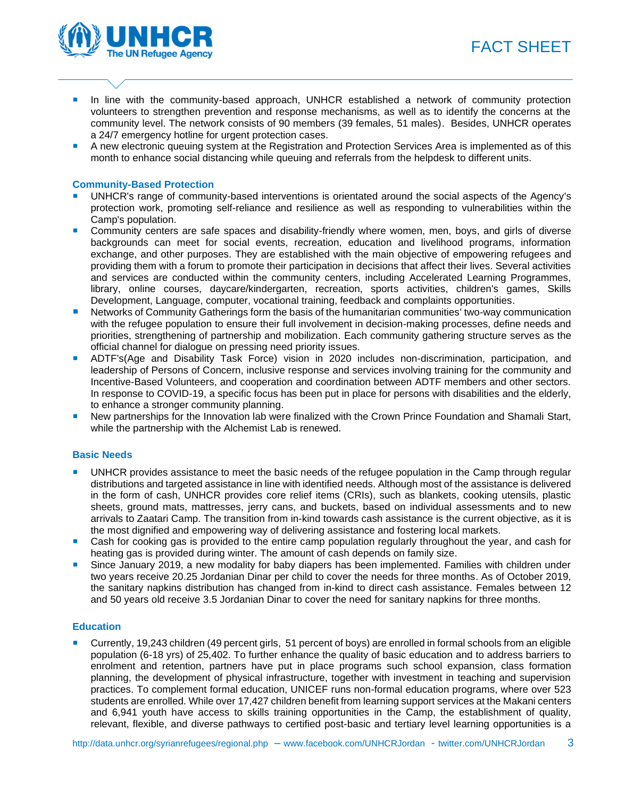



- **In line with the community-based approach, UNHCR established a network of community protection** volunteers to strengthen prevention and response mechanisms, as well as to identify the concerns at the community level. The network consists of 90 members (39 females, 51 males). Besides, UNHCR operates a 24/7 emergency hotline for urgent protection cases.
- A new electronic queuing system at the Registration and Protection Services Area is implemented as of this month to enhance social distancing while queuing and referrals from the helpdesk to different units.

#### **Community-Based Protection**

- UNHCR's range of community-based interventions is orientated around the social aspects of the Agency's protection work, promoting self-reliance and resilience as well as responding to vulnerabilities within the Camp's population.
- **Community centers are safe spaces and disability-friendly where women, men, boys, and girls of diverse** backgrounds can meet for social events, recreation, education and livelihood programs, information exchange, and other purposes. They are established with the main objective of empowering refugees and providing them with a forum to promote their participation in decisions that affect their lives. Several activities and services are conducted within the community centers, including Accelerated Learning Programmes, library, online courses, daycare/kindergarten, recreation, sports activities, children's games, Skills Development, Language, computer, vocational training, feedback and complaints opportunities.
- Networks of Community Gatherings form the basis of the humanitarian communities' two-way communication with the refugee population to ensure their full involvement in decision-making processes, define needs and priorities, strengthening of partnership and mobilization. Each community gathering structure serves as the official channel for dialogue on pressing need priority issues.
- ADTF's(Age and Disability Task Force) vision in 2020 includes non-discrimination, participation, and leadership of Persons of Concern, inclusive response and services involving training for the community and Incentive-Based Volunteers, and cooperation and coordination between ADTF members and other sectors. In response to COVID-19, a specific focus has been put in place for persons with disabilities and the elderly, to enhance a stronger community planning.
- New partnerships for the Innovation lab were finalized with the Crown Prince Foundation and Shamali Start, while the partnership with the Alchemist Lab is renewed.

#### **Basic Needs**

- UNHCR provides assistance to meet the basic needs of the refugee population in the Camp through regular distributions and targeted assistance in line with identified needs. Although most of the assistance is delivered in the form of cash, UNHCR provides core relief items (CRIs), such as blankets, cooking utensils, plastic sheets, ground mats, mattresses, jerry cans, and buckets, based on individual assessments and to new arrivals to Zaatari Camp. The transition from in-kind towards cash assistance is the current objective, as it is the most dignified and empowering way of delivering assistance and fostering local markets.
- Cash for cooking gas is provided to the entire camp population regularly throughout the year, and cash for heating gas is provided during winter. The amount of cash depends on family size.
- Since January 2019, a new modality for baby diapers has been implemented. Families with children under two years receive 20.25 Jordanian Dinar per child to cover the needs for three months. As of October 2019, the sanitary napkins distribution has changed from in-kind to direct cash assistance. Females between 12 and 50 years old receive 3.5 Jordanian Dinar to cover the need for sanitary napkins for three months.

#### **Education**

 Currently, 19,243 children (49 percent girls, 51 percent of boys) are enrolled in formal schools from an eligible population (6-18 yrs) of 25,402. To further enhance the quality of basic education and to address barriers to enrolment and retention, partners have put in place programs such school expansion, class formation planning, the development of physical infrastructure, together with investment in teaching and supervision practices. To complement formal education, UNICEF runs non-formal education programs, where over 523 students are enrolled. While over 17,427 children benefit from learning support services at the Makani centers and 6,941 youth have access to skills training opportunities in the Camp, the establishment of quality, relevant, flexible, and diverse pathways to certified post-basic and tertiary level learning opportunities is a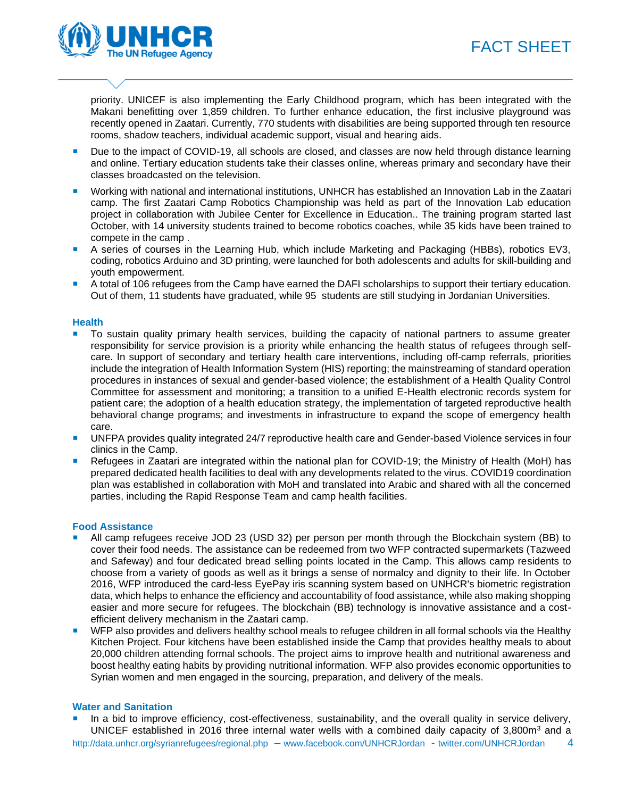### FACT SHEET



priority. UNICEF is also implementing the Early Childhood program, which has been integrated with the Makani benefitting over 1,859 children. To further enhance education, the first inclusive playground was recently opened in Zaatari. Currently, 770 students with disabilities are being supported through ten resource rooms, shadow teachers, individual academic support, visual and hearing aids.

- Due to the impact of COVID-19, all schools are closed, and classes are now held through distance learning and online. Tertiary education students take their classes online, whereas primary and secondary have their classes broadcasted on the television.
- Working with national and international institutions, UNHCR has established an Innovation Lab in the Zaatari camp. The first Zaatari Camp Robotics Championship was held as part of the Innovation Lab education project in collaboration with Jubilee Center for Excellence in Education.. The training program started last October, with 14 university students trained to become robotics coaches, while 35 kids have been trained to compete in the camp .
- A series of courses in the Learning Hub, which include Marketing and Packaging (HBBs), robotics EV3, coding, robotics Arduino and 3D printing, were launched for both adolescents and adults for skill-building and youth empowerment.
- A total of 106 refugees from the Camp have earned the DAFI scholarships to support their tertiary education. Out of them, 11 students have graduated, while 95 students are still studying in Jordanian Universities.

#### **Health**

- To sustain quality primary health services, building the capacity of national partners to assume greater responsibility for service provision is a priority while enhancing the health status of refugees through selfcare. In support of secondary and tertiary health care interventions, including off-camp referrals, priorities include the integration of Health Information System (HIS) reporting; the mainstreaming of standard operation procedures in instances of sexual and gender-based violence; the establishment of a Health Quality Control Committee for assessment and monitoring; a transition to a unified E-Health electronic records system for patient care; the adoption of a health education strategy, the implementation of targeted reproductive health behavioral change programs; and investments in infrastructure to expand the scope of emergency health care.
- **UNFPA provides quality integrated 24/7 reproductive health care and Gender-based Violence services in four** clinics in the Camp.
- Refugees in Zaatari are integrated within the national plan for COVID-19; the Ministry of Health (MoH) has prepared dedicated health facilities to deal with any developments related to the virus. COVID19 coordination plan was established in collaboration with MoH and translated into Arabic and shared with all the concerned parties, including the Rapid Response Team and camp health facilities.

#### **Food Assistance**

- All camp refugees receive JOD 23 (USD 32) per person per month through the Blockchain system (BB) to cover their food needs. The assistance can be redeemed from two WFP contracted supermarkets (Tazweed and Safeway) and four dedicated bread selling points located in the Camp. This allows camp residents to choose from a variety of goods as well as it brings a sense of normalcy and dignity to their life. In October 2016, WFP introduced the card-less EyePay iris scanning system based on UNHCR's biometric registration data, which helps to enhance the efficiency and accountability of food assistance, while also making shopping easier and more secure for refugees. The blockchain (BB) technology is innovative assistance and a costefficient delivery mechanism in the Zaatari camp.
- WFP also provides and delivers healthy school meals to refugee children in all formal schools via the Healthy Kitchen Project. Four kitchens have been established inside the Camp that provides healthy meals to about 20,000 children attending formal schools. The project aims to improve health and nutritional awareness and boost healthy eating habits by providing nutritional information. WFP also provides economic opportunities to Syrian women and men engaged in the sourcing, preparation, and delivery of the meals.

#### **Water and Sanitation**

 In a bid to improve efficiency, cost-effectiveness, sustainability, and the overall quality in service delivery, UNICEF established in 2016 three internal water wells with a combined daily capacity of 3,800m<sup>3</sup> and a

<http://data.unhcr.org/syrianrefugees/regional.php> – [www.facebook.com/UNHCRJordan](http://www.facebook.com/UNHCRJordan) - twitter.com/UNHCRJordan 4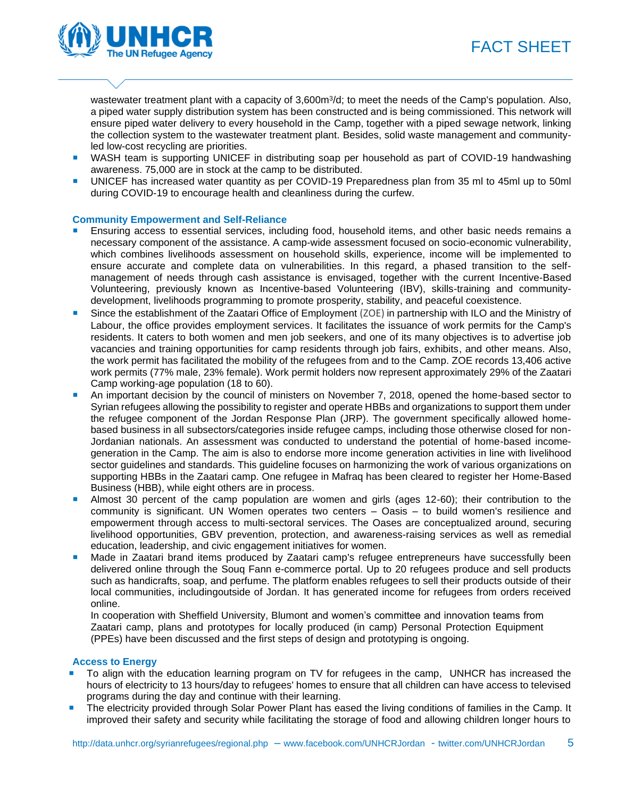



wastewater treatment plant with a capacity of 3,600m<sup>3</sup>/d; to meet the needs of the Camp's population. Also, a piped water supply distribution system has been constructed and is being commissioned. This network will ensure piped water delivery to every household in the Camp, together with a piped sewage network, linking the collection system to the wastewater treatment plant. Besides, solid waste management and communityled low-cost recycling are priorities.

- WASH team is supporting UNICEF in distributing soap per household as part of COVID-19 handwashing awareness. 75,000 are in stock at the camp to be distributed.
- UNICEF has increased water quantity as per COVID-19 Preparedness plan from 35 ml to 45ml up to 50ml during COVID-19 to encourage health and cleanliness during the curfew.

#### **Community Empowerment and Self-Reliance**

- Ensuring access to essential services, including food, household items, and other basic needs remains a necessary component of the assistance. A camp-wide assessment focused on socio-economic vulnerability, which combines livelihoods assessment on household skills, experience, income will be implemented to ensure accurate and complete data on vulnerabilities. In this regard, a phased transition to the selfmanagement of needs through cash assistance is envisaged, together with the current Incentive-Based Volunteering, previously known as Incentive-based Volunteering (IBV), skills-training and communitydevelopment, livelihoods programming to promote prosperity, stability, and peaceful coexistence.
- Since the establishment of the Zaatari Office of Employment (ZOE) in partnership with ILO and the Ministry of Labour, the office provides employment services. It facilitates the issuance of work permits for the Camp's residents. It caters to both women and men job seekers, and one of its many objectives is to advertise job vacancies and training opportunities for camp residents through job fairs, exhibits, and other means. Also, the work permit has facilitated the mobility of the refugees from and to the Camp. ZOE records 13,406 active work permits (77% male, 23% female). Work permit holders now represent approximately 29% of the Zaatari Camp working-age population (18 to 60).
- An important decision by the council of ministers on November 7, 2018, opened the home-based sector to Syrian refugees allowing the possibility to register and operate HBBs and organizations to support them under the refugee component of the Jordan Response Plan (JRP). The government specifically allowed homebased business in all subsectors/categories inside refugee camps, including those otherwise closed for non-Jordanian nationals. An assessment was conducted to understand the potential of home-based incomegeneration in the Camp. The aim is also to endorse more income generation activities in line with livelihood sector guidelines and standards. This guideline focuses on harmonizing the work of various organizations on supporting HBBs in the Zaatari camp. One refugee in Mafraq has been cleared to register her Home-Based Business (HBB), while eight others are in process.
- Almost 30 percent of the camp population are women and girls (ages 12-60); their contribution to the community is significant. UN Women operates two centers – Oasis – to build women's resilience and empowerment through access to multi-sectoral services. The Oases are conceptualized around, securing livelihood opportunities, GBV prevention, protection, and awareness-raising services as well as remedial education, leadership, and civic engagement initiatives for women.
- Made in Zaatari brand items produced by Zaatari camp's refugee entrepreneurs have successfully been delivered online through the Souq Fann e-commerce portal. Up to 20 refugees produce and sell products such as handicrafts, soap, and perfume. The platform enables refugees to sell their products outside of their local communities, includingoutside of Jordan. It has generated income for refugees from orders received online.

In cooperation with Sheffield University, Blumont and women's committee and innovation teams from Zaatari camp, plans and prototypes for locally produced (in camp) Personal Protection Equipment (PPEs) have been discussed and the first steps of design and prototyping is ongoing.

#### **Access to Energy**

- To align with the education learning program on TV for refugees in the camp, UNHCR has increased the hours of electricity to 13 hours/day to refugees' homes to ensure that all children can have access to televised programs during the day and continue with their learning.
- **The electricity provided through Solar Power Plant has eased the living conditions of families in the Camp. It** improved their safety and security while facilitating the storage of food and allowing children longer hours to